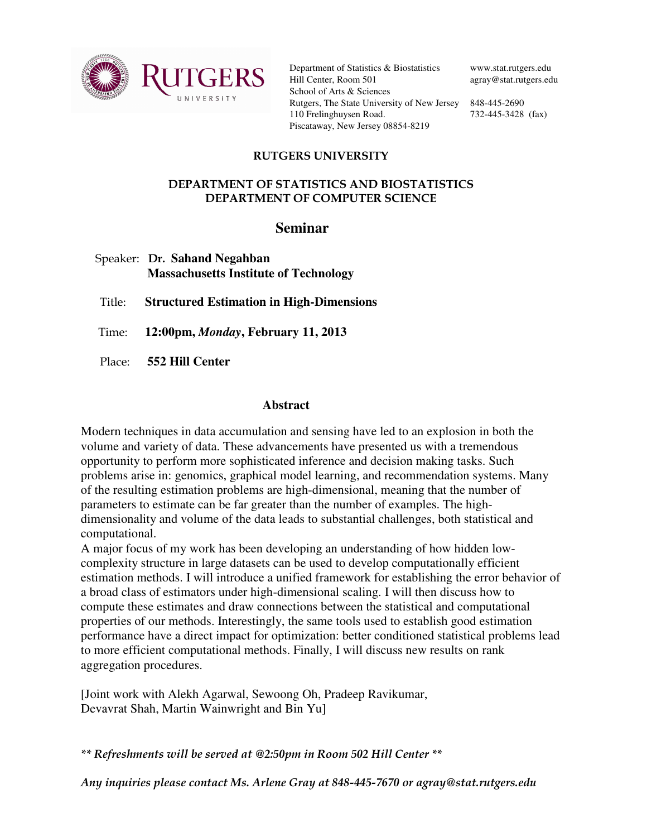

Department of Statistics & Biostatistics Hill Center, Room 501 School of Arts & Sciences Rutgers, The State University of New Jersey 848-445-2690 110 Frelinghuysen Road. Piscataway, New Jersey 08854-8219

www.stat.rutgers.edu agray@stat.rutgers.edu

732-445-3428 (fax)

## RUTGERS UNIVERSITY

## DEPARTMENT OF STATISTICS AND BIOSTATISTICS DEPARTMENT OF COMPUTER SCIENCE

## **Seminar**

| Speaker: Dr. Sahand Negahban                 |
|----------------------------------------------|
| <b>Massachusetts Institute of Technology</b> |

Title: **Structured Estimation in High-Dimensions** 

Time: **12:00pm,** *Monday***, February 11, 2013**

Place: **552 Hill Center**

## **Abstract**

Modern techniques in data accumulation and sensing have led to an explosion in both the volume and variety of data. These advancements have presented us with a tremendous opportunity to perform more sophisticated inference and decision making tasks. Such problems arise in: genomics, graphical model learning, and recommendation systems. Many of the resulting estimation problems are high-dimensional, meaning that the number of parameters to estimate can be far greater than the number of examples. The highdimensionality and volume of the data leads to substantial challenges, both statistical and computational.

A major focus of my work has been developing an understanding of how hidden lowcomplexity structure in large datasets can be used to develop computationally efficient estimation methods. I will introduce a unified framework for establishing the error behavior of a broad class of estimators under high-dimensional scaling. I will then discuss how to compute these estimates and draw connections between the statistical and computational properties of our methods. Interestingly, the same tools used to establish good estimation performance have a direct impact for optimization: better conditioned statistical problems lead to more efficient computational methods. Finally, I will discuss new results on rank aggregation procedures.

[Joint work with Alekh Agarwal, Sewoong Oh, Pradeep Ravikumar, Devavrat Shah, Martin Wainwright and Bin Yu]

\*\* Refreshments will be served at @2:50pm in Room 502 Hill Center \*\*

Any inquiries please contact Ms. Arlene Gray at 848-445-7670 or agray@stat.rutgers.edu